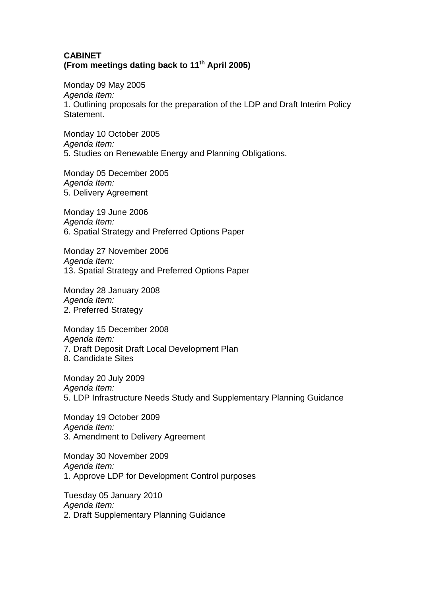## **CABINET (From meetings dating back to 11th April 2005)**

Monday 09 May 2005 *Agenda Item:* 1. Outlining proposals for the preparation of the LDP and Draft Interim Policy Statement.

Monday 10 October 2005 *Agenda Item:* 5. Studies on Renewable Energy and Planning Obligations.

Monday 05 December 2005 *Agenda Item:* 5. Delivery Agreement

Monday 19 June 2006 *Agenda Item:* 6. Spatial Strategy and Preferred Options Paper

Monday 27 November 2006 *Agenda Item:* 13. Spatial Strategy and Preferred Options Paper

Monday 28 January 2008 *Agenda Item:* 2. Preferred Strategy

Monday 15 December 2008 *Agenda Item:* 7. Draft Deposit Draft Local Development Plan 8. Candidate Sites

Monday 20 July 2009 *Agenda Item:* 5. LDP Infrastructure Needs Study and Supplementary Planning Guidance

Monday 19 October 2009 *Agenda Item:* 3. Amendment to Delivery Agreement

Monday 30 November 2009 *Agenda Item:* 1. Approve LDP for Development Control purposes

Tuesday 05 January 2010 *Agenda Item:* 2. Draft Supplementary Planning Guidance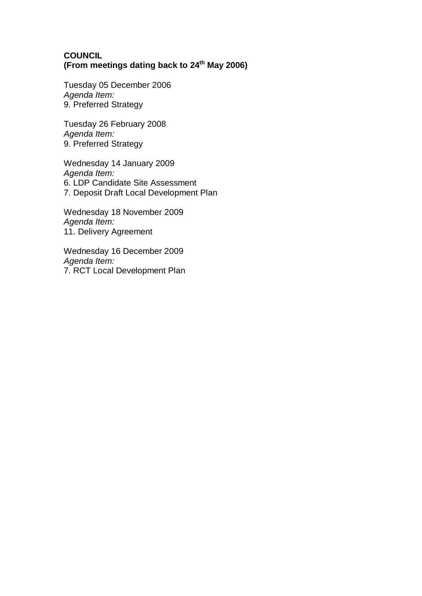## **COUNCIL (From meetings dating back to 24th May 2006)**

Tuesday 05 December 2006 *Agenda Item:* 9. Preferred Strategy

Tuesday 26 February 2008 *Agenda Item:* 9. Preferred Strategy

Wednesday 14 January 2009 *Agenda Item:* 6. LDP Candidate Site Assessment 7. Deposit Draft Local Development Plan

Wednesday 18 November 2009 *Agenda Item:* 11. Delivery Agreement

Wednesday 16 December 2009 *Agenda Item:* 7. RCT Local Development Plan